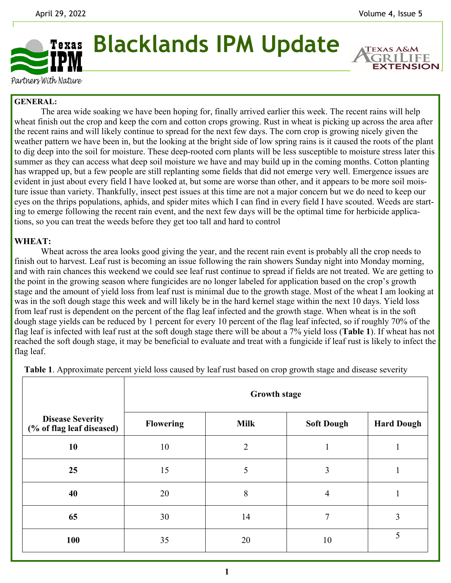**EXTENSION** 



**Blacklands IPM Update** 

Partners With Nature

## **GENERAL:**

 The area wide soaking we have been hoping for, finally arrived earlier this week. The recent rains will help wheat finish out the crop and keep the corn and cotton crops growing. Rust in wheat is picking up across the area after the recent rains and will likely continue to spread for the next few days. The corn crop is growing nicely given the weather pattern we have been in, but the looking at the bright side of low spring rains is it caused the roots of the plant to dig deep into the soil for moisture. These deep-rooted corn plants will be less susceptible to moisture stress later this summer as they can access what deep soil moisture we have and may build up in the coming months. Cotton planting has wrapped up, but a few people are still replanting some fields that did not emerge very well. Emergence issues are evident in just about every field I have looked at, but some are worse than other, and it appears to be more soil moisture issue than variety. Thankfully, insect pest issues at this time are not a major concern but we do need to keep our eyes on the thrips populations, aphids, and spider mites which I can find in every field I have scouted. Weeds are starting to emerge following the recent rain event, and the next few days will be the optimal time for herbicide applications, so you can treat the weeds before they get too tall and hard to control

## **WHEAT:**

 Wheat across the area looks good giving the year, and the recent rain event is probably all the crop needs to finish out to harvest. Leaf rust is becoming an issue following the rain showers Sunday night into Monday morning, and with rain chances this weekend we could see leaf rust continue to spread if fields are not treated. We are getting to the point in the growing season where fungicides are no longer labeled for application based on the crop's growth stage and the amount of yield loss from leaf rust is minimal due to the growth stage. Most of the wheat I am looking at was in the soft dough stage this week and will likely be in the hard kernel stage within the next 10 days. Yield loss from leaf rust is dependent on the percent of the flag leaf infected and the growth stage. When wheat is in the soft dough stage yields can be reduced by 1 percent for every 10 percent of the flag leaf infected, so if roughly 70% of the flag leaf is infected with leaf rust at the soft dough stage there will be about a 7% yield loss (**Table 1**). If wheat has not reached the soft dough stage, it may be beneficial to evaluate and treat with a fungicide if leaf rust is likely to infect the flag leaf.

|                                                      | <b>Growth stage</b> |                |                   |                   |
|------------------------------------------------------|---------------------|----------------|-------------------|-------------------|
| <b>Disease Severity</b><br>(% of flag leaf diseased) | <b>Flowering</b>    | <b>Milk</b>    | <b>Soft Dough</b> | <b>Hard Dough</b> |
| 10                                                   | 10                  | $\overline{2}$ | л                 | $\bf{I}$          |
| 25                                                   | 15                  | 5              | 3                 |                   |
| 40                                                   | 20                  | 8              | $\overline{4}$    |                   |
| 65                                                   | 30                  | 14             | 7                 | 3                 |
| 100                                                  | 35                  | 20             | 10                | 5                 |

**Table 1**. Approximate percent yield loss caused by leaf rust based on crop growth stage and disease severity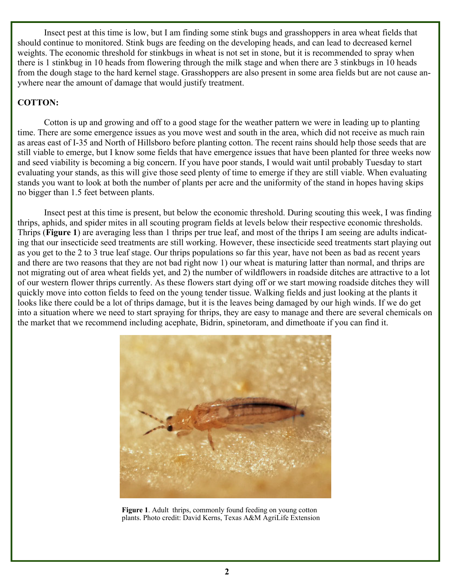Insect pest at this time is low, but I am finding some stink bugs and grasshoppers in area wheat fields that should continue to monitored. Stink bugs are feeding on the developing heads, and can lead to decreased kernel weights. The economic threshold for stinkbugs in wheat is not set in stone, but it is recommended to spray when there is 1 stinkbug in 10 heads from flowering through the milk stage and when there are 3 stinkbugs in 10 heads from the dough stage to the hard kernel stage. Grasshoppers are also present in some area fields but are not cause anywhere near the amount of damage that would justify treatment.

## **COTTON:**

Cotton is up and growing and off to a good stage for the weather pattern we were in leading up to planting time. There are some emergence issues as you move west and south in the area, which did not receive as much rain as areas east of I-35 and North of Hillsboro before planting cotton. The recent rains should help those seeds that are still viable to emerge, but I know some fields that have emergence issues that have been planted for three weeks now and seed viability is becoming a big concern. If you have poor stands, I would wait until probably Tuesday to start evaluating your stands, as this will give those seed plenty of time to emerge if they are still viable. When evaluating stands you want to look at both the number of plants per acre and the uniformity of the stand in hopes having skips no bigger than 1.5 feet between plants.

 Insect pest at this time is present, but below the economic threshold. During scouting this week, I was finding thrips, aphids, and spider mites in all scouting program fields at levels below their respective economic thresholds. Thrips (**Figure 1**) are averaging less than 1 thrips per true leaf, and most of the thrips I am seeing are adults indicating that our insecticide seed treatments are still working. However, these insecticide seed treatments start playing out as you get to the 2 to 3 true leaf stage. Our thrips populations so far this year, have not been as bad as recent years and there are two reasons that they are not bad right now 1) our wheat is maturing latter than normal, and thrips are not migrating out of area wheat fields yet, and 2) the number of wildflowers in roadside ditches are attractive to a lot of our western flower thrips currently. As these flowers start dying off or we start mowing roadside ditches they will quickly move into cotton fields to feed on the young tender tissue. Walking fields and just looking at the plants it looks like there could be a lot of thrips damage, but it is the leaves being damaged by our high winds. If we do get into a situation where we need to start spraying for thrips, they are easy to manage and there are several chemicals on the market that we recommend including acephate, Bidrin, spinetoram, and dimethoate if you can find it.



**Figure 1**. Adult thrips, commonly found feeding on young cotton plants. Photo credit: David Kerns, Texas A&M AgriLife Extension